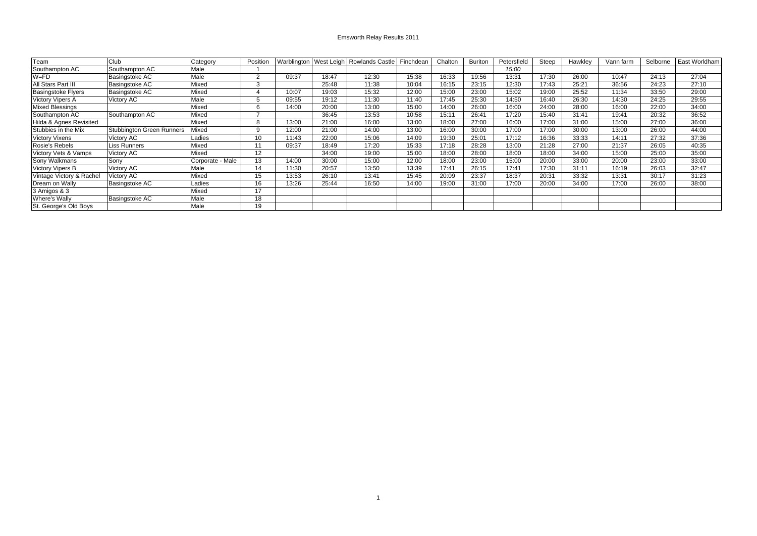## Emsworth Relay Results 2011

| Team                      | Club                      | Category         | Position        |       |       | Warblington   West Leigh   Rowlands Castle | Finchdean | Chalton | Buriton | Petersfield | Steep | Hawkley | Vann farm | Selborne | East Worldham |
|---------------------------|---------------------------|------------------|-----------------|-------|-------|--------------------------------------------|-----------|---------|---------|-------------|-------|---------|-----------|----------|---------------|
|                           |                           |                  |                 |       |       |                                            |           |         |         |             |       |         |           |          |               |
| Southampton AC            | Southampton AC            | Male             |                 |       |       |                                            |           |         |         | 15:00       |       |         |           |          |               |
| $W = FD$                  | Basingstoke AC            | Male             | $\sim$          | 09:37 | 18:47 | 12:30                                      | 15:38     | 16:33   | 19:56   | 13:31       | 17:30 | 26:00   | 10:47     | 24:13    | 27:04         |
| All Stars Part III        | Basingstoke AC            | Mixed            | $\sim$          |       | 25:48 | 11:38                                      | 10:04     | 16:15   | 23:15   | 12:30       | 17:43 | 25:21   | 36:56     | 24:23    | 27:10         |
| <b>Basingstoke Flyers</b> | Basingstoke AC            | Mixed            |                 | 10:07 | 19:03 | 15:32                                      | 12:00     | 15:00   | 23:00   | 15:02       | 19:00 | 25:52   | 11:34     | 33:50    | 29:00         |
| <b>Victory Vipers A</b>   | Victory AC                | Male             |                 | 09:55 | 19:12 | 11:30                                      | 11:40     | 17:45   | 25:30   | 14:50       | 16:40 | 26:30   | 14:30     | 24:25    | 29:55         |
| <b>Mixed Blessings</b>    |                           | Mixed            | $\sim$<br>'n    | 14:00 | 20:00 | 13:00                                      | 15:00     | 14:00   | 26:00   | 16:00       | 24:00 | 28:00   | 16:00     | 22:00    | 34:00         |
| Southampton AC            | Southampton AC            | Mixed            |                 |       | 36:45 | 13:53                                      | 10:58     | 15:11   | 26:41   | 17:20       | 15:40 | 31:41   | 19:41     | 20:32    | 36:52         |
| Hilda & Agnes Revisited   |                           | Mixed            | R               | 13:00 | 21:00 | 16:00                                      | 13:00     | 18:00   | 27:00   | 16:00       | 17:00 | 31:00   | 15:00     | 27:00    | 36:00         |
| Stubbies in the Mix       | Stubbington Green Runners | Mixed            |                 | 12:00 | 21:00 | 14:00                                      | 13:00     | 16:00   | 30:00   | 17:00       | 17:00 | 30:00   | 13:00     | 26:00    | 44:00         |
| <b>Victory Vixens</b>     | Victory AC                | Ladies           | 10 <sup>°</sup> | 11:43 | 22:00 | 15:06                                      | 14:09     | 19:30   | 25:01   | 17:12       | 16:36 | 33:33   | 14:11     | 27:32    | 37:36         |
| Rosie's Rebels            | Liss Runners              | Mixed            | 11              | 09:37 | 18:49 | 17:20                                      | 15:33     | 17:18   | 28:28   | 13:00       | 21:28 | 27:00   | 21:37     | 26:05    | 40:35         |
| Victory Vets & Vamps      | Victory AC                | Mixed            | 12              |       | 34:00 | 19:00                                      | 15:00     | 18:00   | 28:00   | 18:00       | 18:00 | 34:00   | 15:00     | 25:00    | 35:00         |
| Sony Walkmans             | Sony                      | Corporate - Male | 13              | 14:00 | 30:00 | 15:00                                      | 12:00     | 18:00   | 23:00   | 15:00       | 20:00 | 33:00   | 20:00     | 23:00    | 33:00         |
| <b>Victory Vipers B</b>   | Victory AC                | Male             | 14              | 11:30 | 20:57 | 13:50                                      | 13:39     | 17:41   | 26:15   | 17:41       | 17:30 | 31:11   | 16:19     | 26:03    | 32:47         |
| Vintage Victory & Rachel  | Victory AC                | Mixed            | 15              | 13:53 | 26:10 | 13:41                                      | 15:45     | 20:09   | 23:37   | 18:37       | 20:31 | 33:32   | 13:31     | 30:17    | 31:23         |
| Dream on Wally            | <b>Basingstoke AC</b>     | Ladies           | 16              | 13:26 | 25:44 | 16:50                                      | 14:00     | 19:00   | 31:00   | 17:00       | 20:00 | 34:00   | 17:00     | 26:00    | 38:00         |
| 3 Amigos & 3              |                           | Mixed            | 17              |       |       |                                            |           |         |         |             |       |         |           |          |               |
| <b>Where's Wally</b>      | <b>Basingstoke AC</b>     | Male             | 18              |       |       |                                            |           |         |         |             |       |         |           |          |               |
| St. George's Old Boys     |                           | Male             | 19              |       |       |                                            |           |         |         |             |       |         |           |          |               |